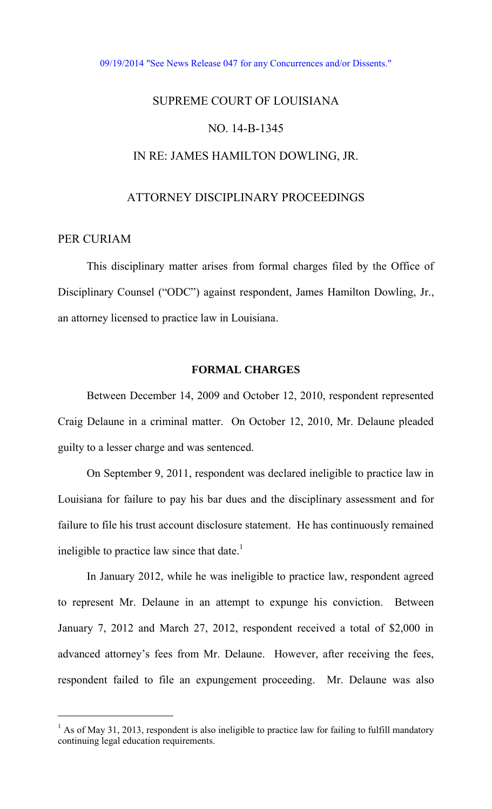#### [09/19/2014 "See News Release 047 for any Concurrences and/or Dissents."](http://www.lasc.org/Actions?p=2014-047)

# SUPREME COURT OF LOUISIANA

# NO. 14-B-1345

# IN RE: JAMES HAMILTON DOWLING, JR.

## ATTORNEY DISCIPLINARY PROCEEDINGS

# PER CURIAM

 $\overline{a}$ 

This disciplinary matter arises from formal charges filed by the Office of Disciplinary Counsel ("ODC") against respondent, James Hamilton Dowling, Jr., an attorney licensed to practice law in Louisiana.

#### **FORMAL CHARGES**

Between December 14, 2009 and October 12, 2010, respondent represented Craig Delaune in a criminal matter. On October 12, 2010, Mr. Delaune pleaded guilty to a lesser charge and was sentenced.

On September 9, 2011, respondent was declared ineligible to practice law in Louisiana for failure to pay his bar dues and the disciplinary assessment and for failure to file his trust account disclosure statement. He has continuously remained ineligible to practice law since that date.<sup>1</sup>

In January 2012, while he was ineligible to practice law, respondent agreed to represent Mr. Delaune in an attempt to expunge his conviction. Between January 7, 2012 and March 27, 2012, respondent received a total of \$2,000 in advanced attorney's fees from Mr. Delaune. However, after receiving the fees, respondent failed to file an expungement proceeding. Mr. Delaune was also

 $<sup>1</sup>$  As of May 31, 2013, respondent is also ineligible to practice law for failing to fulfill mandatory</sup> continuing legal education requirements.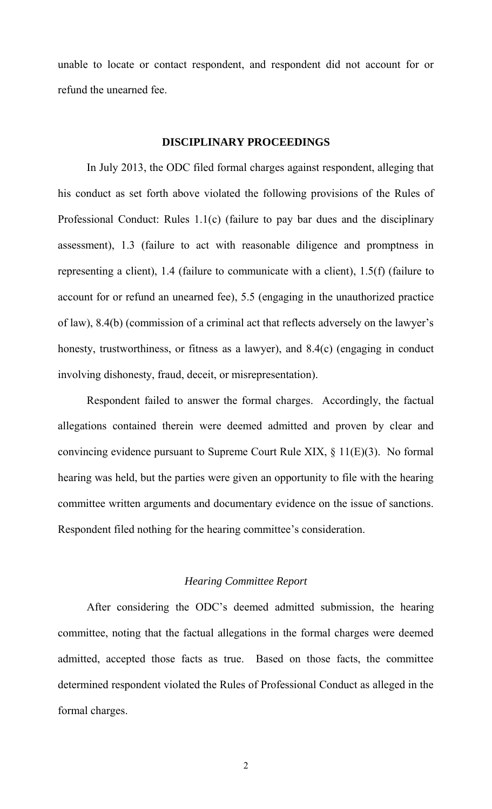unable to locate or contact respondent, and respondent did not account for or refund the unearned fee.

#### **DISCIPLINARY PROCEEDINGS**

In July 2013, the ODC filed formal charges against respondent, alleging that his conduct as set forth above violated the following provisions of the Rules of Professional Conduct: Rules 1.1(c) (failure to pay bar dues and the disciplinary assessment), 1.3 (failure to act with reasonable diligence and promptness in representing a client), 1.4 (failure to communicate with a client), 1.5(f) (failure to account for or refund an unearned fee), 5.5 (engaging in the unauthorized practice of law), 8.4(b) (commission of a criminal act that reflects adversely on the lawyer's honesty, trustworthiness, or fitness as a lawyer), and 8.4(c) (engaging in conduct involving dishonesty, fraud, deceit, or misrepresentation).

Respondent failed to answer the formal charges. Accordingly, the factual allegations contained therein were deemed admitted and proven by clear and convincing evidence pursuant to Supreme Court Rule XIX, § 11(E)(3). No formal hearing was held, but the parties were given an opportunity to file with the hearing committee written arguments and documentary evidence on the issue of sanctions. Respondent filed nothing for the hearing committee's consideration.

# *Hearing Committee Report*

After considering the ODC's deemed admitted submission, the hearing committee, noting that the factual allegations in the formal charges were deemed admitted, accepted those facts as true. Based on those facts, the committee determined respondent violated the Rules of Professional Conduct as alleged in the formal charges.

2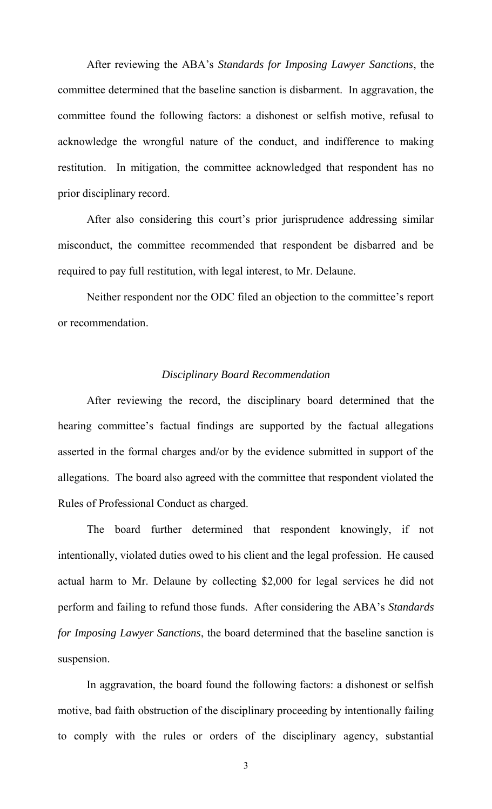After reviewing the ABA's *Standards for Imposing Lawyer Sanctions*, the committee determined that the baseline sanction is disbarment. In aggravation, the committee found the following factors: a dishonest or selfish motive, refusal to acknowledge the wrongful nature of the conduct, and indifference to making restitution. In mitigation, the committee acknowledged that respondent has no prior disciplinary record.

After also considering this court's prior jurisprudence addressing similar misconduct, the committee recommended that respondent be disbarred and be required to pay full restitution, with legal interest, to Mr. Delaune.

Neither respondent nor the ODC filed an objection to the committee's report or recommendation.

## *Disciplinary Board Recommendation*

After reviewing the record, the disciplinary board determined that the hearing committee's factual findings are supported by the factual allegations asserted in the formal charges and/or by the evidence submitted in support of the allegations. The board also agreed with the committee that respondent violated the Rules of Professional Conduct as charged.

The board further determined that respondent knowingly, if not intentionally, violated duties owed to his client and the legal profession. He caused actual harm to Mr. Delaune by collecting \$2,000 for legal services he did not perform and failing to refund those funds. After considering the ABA's *Standards for Imposing Lawyer Sanctions*, the board determined that the baseline sanction is suspension.

In aggravation, the board found the following factors: a dishonest or selfish motive, bad faith obstruction of the disciplinary proceeding by intentionally failing to comply with the rules or orders of the disciplinary agency, substantial

3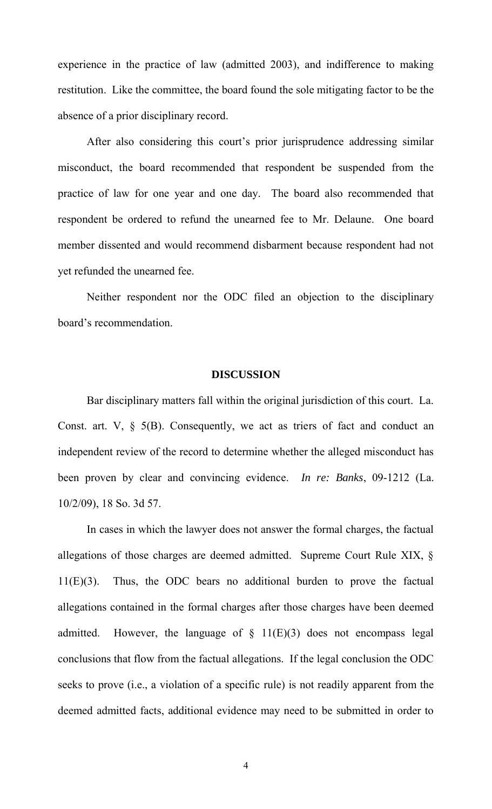experience in the practice of law (admitted 2003), and indifference to making restitution. Like the committee, the board found the sole mitigating factor to be the absence of a prior disciplinary record.

After also considering this court's prior jurisprudence addressing similar misconduct, the board recommended that respondent be suspended from the practice of law for one year and one day. The board also recommended that respondent be ordered to refund the unearned fee to Mr. Delaune. One board member dissented and would recommend disbarment because respondent had not yet refunded the unearned fee.

 Neither respondent nor the ODC filed an objection to the disciplinary board's recommendation.

## **DISCUSSION**

Bar disciplinary matters fall within the original jurisdiction of this court. La. Const. art. V,  $\S$  5(B). Consequently, we act as triers of fact and conduct an independent review of the record to determine whether the alleged misconduct has been proven by clear and convincing evidence. *In re: Banks*, 09-1212 (La. 10/2/09), 18 So. 3d 57.

In cases in which the lawyer does not answer the formal charges, the factual allegations of those charges are deemed admitted. Supreme Court Rule XIX, § 11(E)(3). Thus, the ODC bears no additional burden to prove the factual allegations contained in the formal charges after those charges have been deemed admitted. However, the language of  $\S$  11(E)(3) does not encompass legal conclusions that flow from the factual allegations. If the legal conclusion the ODC seeks to prove (i.e., a violation of a specific rule) is not readily apparent from the deemed admitted facts, additional evidence may need to be submitted in order to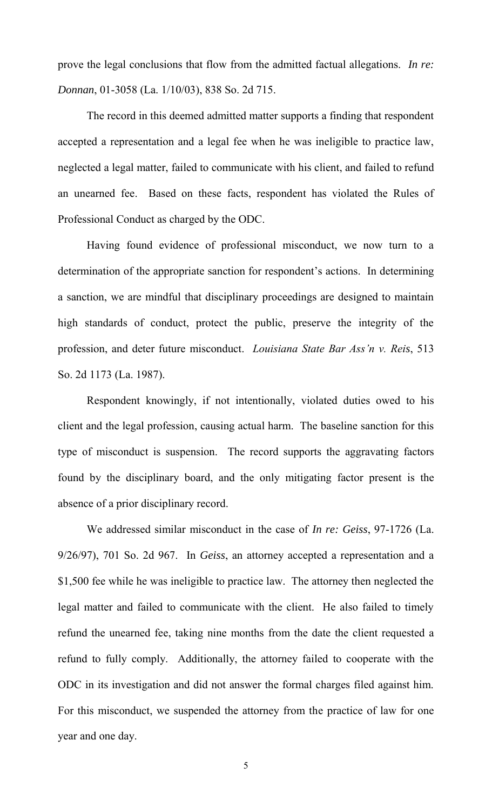prove the legal conclusions that flow from the admitted factual allegations. *In re: Donnan*, 01-3058 (La. 1/10/03), 838 So. 2d 715.

The record in this deemed admitted matter supports a finding that respondent accepted a representation and a legal fee when he was ineligible to practice law, neglected a legal matter, failed to communicate with his client, and failed to refund an unearned fee. Based on these facts, respondent has violated the Rules of Professional Conduct as charged by the ODC.

Having found evidence of professional misconduct, we now turn to a determination of the appropriate sanction for respondent's actions. In determining a sanction, we are mindful that disciplinary proceedings are designed to maintain high standards of conduct, protect the public, preserve the integrity of the profession, and deter future misconduct. *Louisiana State Bar Ass'n v. Reis*, 513 So. 2d 1173 (La. 1987).

Respondent knowingly, if not intentionally, violated duties owed to his client and the legal profession, causing actual harm. The baseline sanction for this type of misconduct is suspension. The record supports the aggravating factors found by the disciplinary board, and the only mitigating factor present is the absence of a prior disciplinary record.

We addressed similar misconduct in the case of *In re: Geiss*, 97-1726 (La. 9/26/97), 701 So. 2d 967. In *Geiss*, an attorney accepted a representation and a \$1,500 fee while he was ineligible to practice law. The attorney then neglected the legal matter and failed to communicate with the client. He also failed to timely refund the unearned fee, taking nine months from the date the client requested a refund to fully comply. Additionally, the attorney failed to cooperate with the ODC in its investigation and did not answer the formal charges filed against him. For this misconduct, we suspended the attorney from the practice of law for one year and one day.